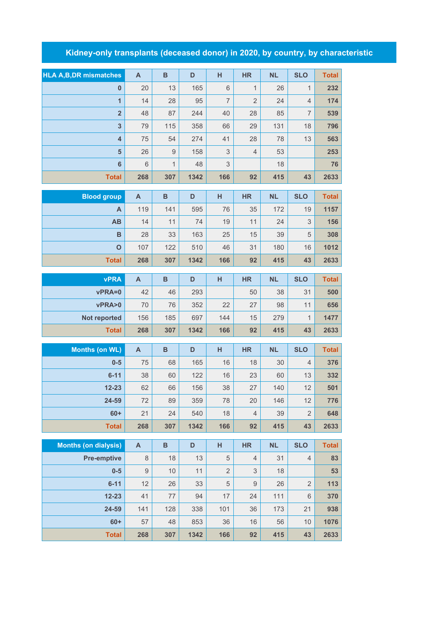## **Kidney-only transplants (deceased donor) in 2020, by country, by characteristic**

| <b>HLA A, B, DR mismatches</b> | $\overline{A}$ | B              | D    | н   | <b>HR</b>      | <b>NL</b> | <b>SLO</b>     | <b>Total</b> |
|--------------------------------|----------------|----------------|------|-----|----------------|-----------|----------------|--------------|
| $\bf{0}$                       | 20             | 13             | 165  | 6   | 1              | 26        | 1              | 232          |
| $\overline{1}$                 | 14             | 28             | 95   | 7   | $\overline{2}$ | 24        | $\overline{4}$ | 174          |
| $\overline{2}$                 | 48             | 87             | 244  | 40  | 28             | 85        | 7              | 539          |
| 3                              | 79             | 115            | 358  | 66  | 29             | 131       | 18             | 796          |
| $\overline{\mathbf{4}}$        | 75             | 54             | 274  | 41  | 28             | 78        | 13             | 563          |
| 5                              | 26             | $\overline{9}$ | 158  | 3   | $\overline{4}$ | 53        |                | 253          |
| 6                              | 6              | $\mathbf{1}$   | 48   | 3   |                | 18        |                | 76           |
| <b>Total</b>                   | 268            | 307            | 1342 | 166 | 92             | 415       | 43             | 2633         |
|                                |                |                |      |     |                |           |                |              |
| <b>Blood group</b>             | $\mathsf{A}$   | B              | D    | н   | <b>HR</b>      | <b>NL</b> | <b>SLO</b>     | <b>Total</b> |

| ________     |     |     |      |     |    |     |    |      |
|--------------|-----|-----|------|-----|----|-----|----|------|
| Α            | 119 | 141 | 595  | 76  | 35 | 172 | 19 | 1157 |
| <b>AB</b>    | 14  | 11  | 74   | 19  | 11 | 24  | 3  | 156  |
| B            | 28  | 33  | 163  | 25  | 15 | 39  | 5  | 308  |
| $\mathbf O$  | 107 | 122 | 510  | 46  | 31 | 180 | 16 | 1012 |
| <b>Total</b> | 268 | 307 | 1342 | 166 | 92 | 415 | 43 | 2633 |

| <b>vPRA</b>  | А   | в   | D    | н   | <b>HR</b> | <b>NL</b> | <b>SLO</b> | <b>Total</b> |
|--------------|-----|-----|------|-----|-----------|-----------|------------|--------------|
| vPRA=0       | 42  | 46  | 293  |     | 50        | 38        | 31         | 500          |
| vPRA>0       | 70  | 76  | 352  | 22  | 27        | 98        | 11         | 656          |
| Not reported | 156 | 185 | 697  | 144 | 15        | 279       |            | 1477         |
| <b>Total</b> | 268 | 307 | 1342 | 166 | 92        | 415       | 43         | 2633         |

| Months (on WL) | A   | B   | D    | н   | <b>HR</b>      | <b>NL</b> | <b>SLO</b>     | <b>Total</b> |
|----------------|-----|-----|------|-----|----------------|-----------|----------------|--------------|
| $0-5$          | 75  | 68  | 165  | 16  | 18             | 30        | $\overline{4}$ | 376          |
| $6 - 11$       | 38  | 60  | 122  | 16  | 23             | 60        | 13             | 332          |
| $12 - 23$      | 62  | 66  | 156  | 38  | 27             | 140       | 12             | 501          |
| 24-59          | 72  | 89  | 359  | 78  | 20             | 146       | 12             | 776          |
| $60+$          | 21  | 24  | 540  | 18  | $\overline{4}$ | 39        | $\overline{2}$ | 648          |
| <b>Total</b>   | 268 | 307 | 1342 | 166 | 92             | 415       | 43             | 2633         |

| <b>Months (on dialysis)</b> | $\mathsf{A}$ | B   | D    | н              | <b>HR</b>      | <b>NL</b> | <b>SLO</b>     | <b>Total</b> |
|-----------------------------|--------------|-----|------|----------------|----------------|-----------|----------------|--------------|
| <b>Pre-emptive</b>          | 8            | 18  | 13   | 5              | $\overline{4}$ | 31        | $\overline{4}$ | 83           |
| $0 - 5$                     | 9            | 10  | 11   | $\overline{2}$ | 3              | 18        |                | 53           |
| $6 - 11$                    | 12           | 26  | 33   | 5              | 9              | 26        | $\overline{2}$ | 113          |
| $12 - 23$                   | 41           | 77  | 94   | 17             | 24             | 111       | 6              | 370          |
| 24-59                       | 141          | 128 | 338  | 101            | 36             | 173       | 21             | 938          |
| $60+$                       | 57           | 48  | 853  | 36             | 16             | 56        | 10             | 1076         |
| <b>Total</b>                | 268          | 307 | 1342 | 166            | 92             | 415       | 43             | 2633         |